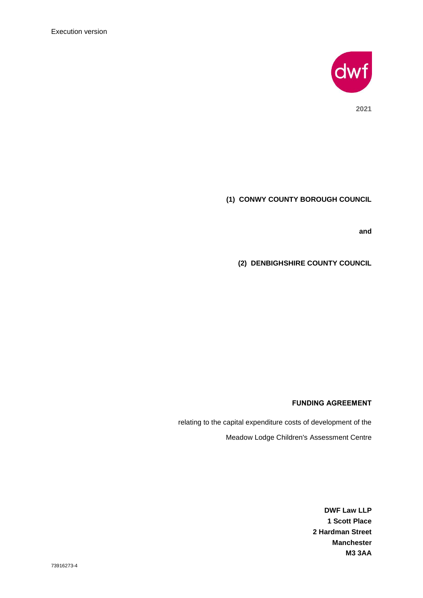

**2021**

# **(1) CONWY COUNTY BOROUGH COUNCIL**

**and**

**(2) DENBIGHSHIRE COUNTY COUNCIL**

### **FUNDING AGREEMENT**

relating to the capital expenditure costs of development of the Meadow Lodge Children's Assessment Centre

> **DWF Law LLP 1 Scott Place 2 Hardman Street Manchester M3 3AA**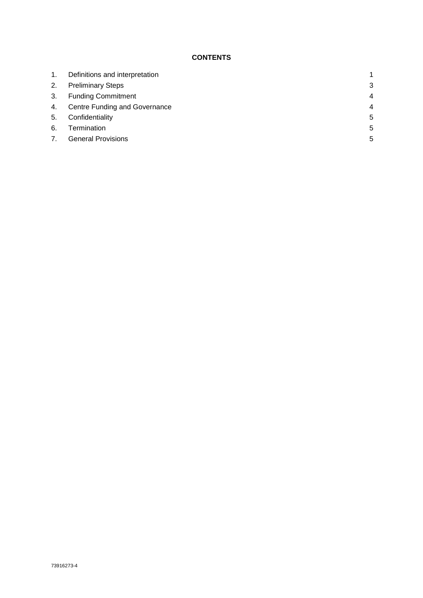## **CONTENTS**

| 1. | Definitions and interpretation |                |
|----|--------------------------------|----------------|
| 2. | <b>Preliminary Steps</b>       | 3              |
| 3. | <b>Funding Commitment</b>      | $\overline{4}$ |
| 4. | Centre Funding and Governance  | $\overline{4}$ |
| 5. | Confidentiality                | 5              |
| 6. | Termination                    | 5              |
| 7. | <b>General Provisions</b>      | 5              |
|    |                                |                |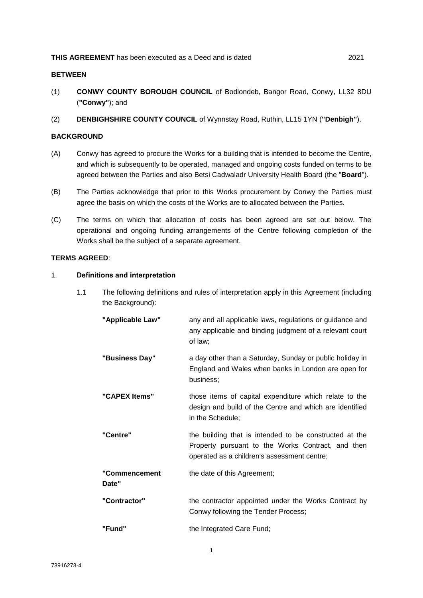## **BETWEEN**

- (1) **CONWY COUNTY BOROUGH COUNCIL** of Bodlondeb, Bangor Road, Conwy, LL32 8DU (**"Conwy"**); and
- (2) **DENBIGHSHIRE COUNTY COUNCIL** of Wynnstay Road, Ruthin, LL15 1YN (**"Denbigh"**).

## **BACKGROUND**

- (A) Conwy has agreed to procure the Works for a building that is intended to become the Centre, and which is subsequently to be operated, managed and ongoing costs funded on terms to be agreed between the Parties and also Betsi Cadwaladr University Health Board (the "**Board**").
- (B) The Parties acknowledge that prior to this Works procurement by Conwy the Parties must agree the basis on which the costs of the Works are to allocated between the Parties.
- (C) The terms on which that allocation of costs has been agreed are set out below. The operational and ongoing funding arrangements of the Centre following completion of the Works shall be the subject of a separate agreement.

### **TERMS AGREED**:

#### 1. **Definitions and interpretation**

1.1 The following definitions and rules of interpretation apply in this Agreement (including the Background):

| "Applicable Law"       | any and all applicable laws, regulations or guidance and<br>any applicable and binding judgment of a relevant court<br>of law;                             |
|------------------------|------------------------------------------------------------------------------------------------------------------------------------------------------------|
| "Business Day"         | a day other than a Saturday, Sunday or public holiday in<br>England and Wales when banks in London are open for<br>business;                               |
| "CAPEX Items"          | those items of capital expenditure which relate to the<br>design and build of the Centre and which are identified<br>in the Schedule;                      |
| "Centre"               | the building that is intended to be constructed at the<br>Property pursuant to the Works Contract, and then<br>operated as a children's assessment centre; |
| "Commencement<br>Date" | the date of this Agreement;                                                                                                                                |
| "Contractor"           | the contractor appointed under the Works Contract by<br>Conwy following the Tender Process;                                                                |
| "Fund"                 | the Integrated Care Fund;                                                                                                                                  |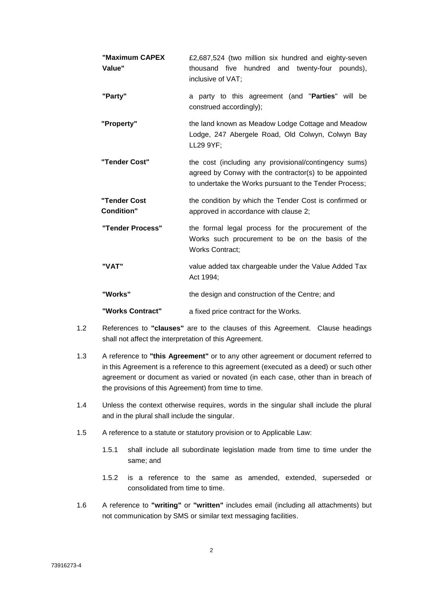| "Maximum CAPEX<br>Value"          | £2,687,524 (two million six hundred and eighty-seven<br>thousand five hundred and twenty-four pounds),<br>inclusive of VAT;                                               |  |
|-----------------------------------|---------------------------------------------------------------------------------------------------------------------------------------------------------------------------|--|
| "Party"                           | a party to this agreement (and "Parties" will be<br>construed accordingly);                                                                                               |  |
| "Property"                        | the land known as Meadow Lodge Cottage and Meadow<br>Lodge, 247 Abergele Road, Old Colwyn, Colwyn Bay<br>LL29 9YF;                                                        |  |
| "Tender Cost"                     | the cost (including any provisional/contingency sums)<br>agreed by Conwy with the contractor(s) to be appointed<br>to undertake the Works pursuant to the Tender Process; |  |
| "Tender Cost<br><b>Condition"</b> | the condition by which the Tender Cost is confirmed or<br>approved in accordance with clause 2;                                                                           |  |
| "Tender Process"                  | the formal legal process for the procurement of the<br>Works such procurement to be on the basis of the<br><b>Works Contract:</b>                                         |  |
| "VAT"                             | value added tax chargeable under the Value Added Tax<br>Act 1994;                                                                                                         |  |
| "Works"                           | the design and construction of the Centre; and                                                                                                                            |  |
| "Works Contract"                  | a fixed price contract for the Works.                                                                                                                                     |  |

- 1.2 References to **"clauses"** are to the clauses of this Agreement. Clause headings shall not affect the interpretation of this Agreement.
- 1.3 A reference to **"this Agreement"** or to any other agreement or document referred to in this Agreement is a reference to this agreement (executed as a deed) or such other agreement or document as varied or novated (in each case, other than in breach of the provisions of this Agreement) from time to time.
- 1.4 Unless the context otherwise requires, words in the singular shall include the plural and in the plural shall include the singular.
- 1.5 A reference to a statute or statutory provision or to Applicable Law:
	- 1.5.1 shall include all subordinate legislation made from time to time under the same; and
	- 1.5.2 is a reference to the same as amended, extended, superseded or consolidated from time to time.
- 1.6 A reference to **"writing"** or **"written"** includes email (including all attachments) but not communication by SMS or similar text messaging facilities.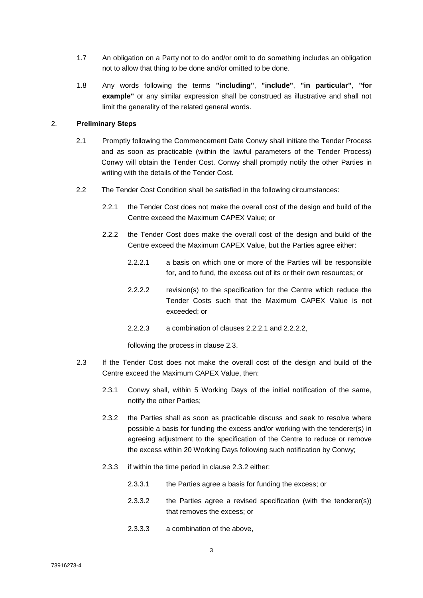- 1.7 An obligation on a Party not to do and/or omit to do something includes an obligation not to allow that thing to be done and/or omitted to be done.
- 1.8 Any words following the terms **"including"**, **"include"**, **"in particular"**, **"for example"** or any similar expression shall be construed as illustrative and shall not limit the generality of the related general words.

### 2. **Preliminary Steps**

- 2.1 Promptly following the Commencement Date Conwy shall initiate the Tender Process and as soon as practicable (within the lawful parameters of the Tender Process) Conwy will obtain the Tender Cost. Conwy shall promptly notify the other Parties in writing with the details of the Tender Cost.
- 2.2 The Tender Cost Condition shall be satisfied in the following circumstances:
	- 2.2.1 the Tender Cost does not make the overall cost of the design and build of the Centre exceed the Maximum CAPEX Value; or
	- 2.2.2 the Tender Cost does make the overall cost of the design and build of the Centre exceed the Maximum CAPEX Value, but the Parties agree either:
		- 2.2.2.1 a basis on which one or more of the Parties will be responsible for, and to fund, the excess out of its or their own resources; or
		- 2.2.2.2 revision(s) to the specification for the Centre which reduce the Tender Costs such that the Maximum CAPEX Value is not exceeded; or
		- 2.2.2.3 a combination of clauses 2.2.2.1 and 2.2.2.2,

following the process in clause 2.3.

- 2.3 If the Tender Cost does not make the overall cost of the design and build of the Centre exceed the Maximum CAPEX Value, then:
	- 2.3.1 Conwy shall, within 5 Working Days of the initial notification of the same, notify the other Parties;
	- 2.3.2 the Parties shall as soon as practicable discuss and seek to resolve where possible a basis for funding the excess and/or working with the tenderer(s) in agreeing adjustment to the specification of the Centre to reduce or remove the excess within 20 Working Days following such notification by Conwy;
	- 2.3.3 if within the time period in clause 2.3.2 either:
		- 2.3.3.1 the Parties agree a basis for funding the excess; or
		- 2.3.3.2 the Parties agree a revised specification (with the tenderer(s)) that removes the excess; or
		- 2.3.3.3 a combination of the above,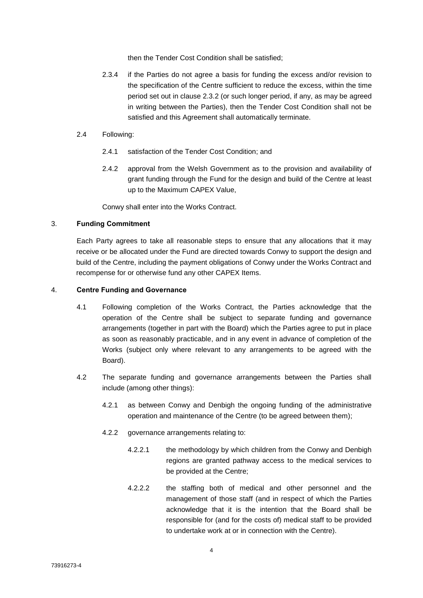then the Tender Cost Condition shall be satisfied;

- 2.3.4 if the Parties do not agree a basis for funding the excess and/or revision to the specification of the Centre sufficient to reduce the excess, within the time period set out in clause 2.3.2 (or such longer period, if any, as may be agreed in writing between the Parties), then the Tender Cost Condition shall not be satisfied and this Agreement shall automatically terminate.
- 2.4 Following:
	- 2.4.1 satisfaction of the Tender Cost Condition; and
	- 2.4.2 approval from the Welsh Government as to the provision and availability of grant funding through the Fund for the design and build of the Centre at least up to the Maximum CAPEX Value,

Conwy shall enter into the Works Contract.

#### 3. **Funding Commitment**

Each Party agrees to take all reasonable steps to ensure that any allocations that it may receive or be allocated under the Fund are directed towards Conwy to support the design and build of the Centre, including the payment obligations of Conwy under the Works Contract and recompense for or otherwise fund any other CAPEX Items.

#### 4. **Centre Funding and Governance**

- 4.1 Following completion of the Works Contract, the Parties acknowledge that the operation of the Centre shall be subject to separate funding and governance arrangements (together in part with the Board) which the Parties agree to put in place as soon as reasonably practicable, and in any event in advance of completion of the Works (subject only where relevant to any arrangements to be agreed with the Board).
- 4.2 The separate funding and governance arrangements between the Parties shall include (among other things):
	- 4.2.1 as between Conwy and Denbigh the ongoing funding of the administrative operation and maintenance of the Centre (to be agreed between them);
	- 4.2.2 governance arrangements relating to:
		- 4.2.2.1 the methodology by which children from the Conwy and Denbigh regions are granted pathway access to the medical services to be provided at the Centre;
		- 4.2.2.2 the staffing both of medical and other personnel and the management of those staff (and in respect of which the Parties acknowledge that it is the intention that the Board shall be responsible for (and for the costs of) medical staff to be provided to undertake work at or in connection with the Centre).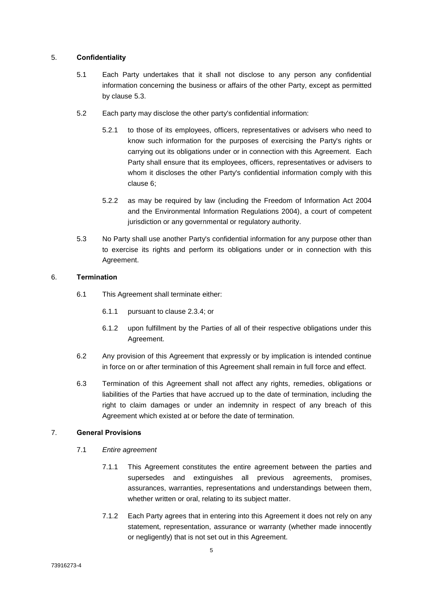#### 5. **Confidentiality**

- 5.1 Each Party undertakes that it shall not disclose to any person any confidential information concerning the business or affairs of the other Party, except as permitted by clause [5.3.](#page-6-0)
- 5.2 Each party may disclose the other party's confidential information:
	- 5.2.1 to those of its employees, officers, representatives or advisers who need to know such information for the purposes of exercising the Party's rights or carrying out its obligations under or in connection with this Agreement. Each Party shall ensure that its employees, officers, representatives or advisers to whom it discloses the other Party's confidential information comply with this clause 6;
	- 5.2.2 as may be required by law (including the Freedom of Information Act 2004 and the Environmental Information Regulations 2004), a court of competent jurisdiction or any governmental or regulatory authority.
- <span id="page-6-0"></span>5.3 No Party shall use another Party's confidential information for any purpose other than to exercise its rights and perform its obligations under or in connection with this Agreement.

#### 6. **Termination**

- 6.1 This Agreement shall terminate either:
	- 6.1.1 pursuant to clause 2.3.4; or
	- 6.1.2 upon fulfillment by the Parties of all of their respective obligations under this Agreement.
- 6.2 Any provision of this Agreement that expressly or by implication is intended continue in force on or after termination of this Agreement shall remain in full force and effect.
- 6.3 Termination of this Agreement shall not affect any rights, remedies, obligations or liabilities of the Parties that have accrued up to the date of termination, including the right to claim damages or under an indemnity in respect of any breach of this Agreement which existed at or before the date of termination.

### 7. **General Provisions**

- 7.1 *Entire agreement*
	- 7.1.1 This Agreement constitutes the entire agreement between the parties and supersedes and extinguishes all previous agreements, promises, assurances, warranties, representations and understandings between them, whether written or oral, relating to its subject matter.
	- 7.1.2 Each Party agrees that in entering into this Agreement it does not rely on any statement, representation, assurance or warranty (whether made innocently or negligently) that is not set out in this Agreement.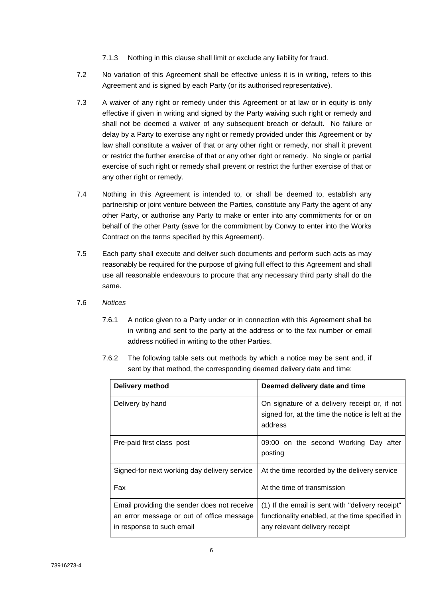- 7.1.3 Nothing in this clause shall limit or exclude any liability for fraud.
- 7.2 No variation of this Agreement shall be effective unless it is in writing, refers to this Agreement and is signed by each Party (or its authorised representative).
- 7.3 A waiver of any right or remedy under this Agreement or at law or in equity is only effective if given in writing and signed by the Party waiving such right or remedy and shall not be deemed a waiver of any subsequent breach or default. No failure or delay by a Party to exercise any right or remedy provided under this Agreement or by law shall constitute a waiver of that or any other right or remedy, nor shall it prevent or restrict the further exercise of that or any other right or remedy. No single or partial exercise of such right or remedy shall prevent or restrict the further exercise of that or any other right or remedy.
- 7.4 Nothing in this Agreement is intended to, or shall be deemed to, establish any partnership or joint venture between the Parties, constitute any Party the agent of any other Party, or authorise any Party to make or enter into any commitments for or on behalf of the other Party (save for the commitment by Conwy to enter into the Works Contract on the terms specified by this Agreement).
- 7.5 Each party shall execute and deliver such documents and perform such acts as may reasonably be required for the purpose of giving full effect to this Agreement and shall use all reasonable endeavours to procure that any necessary third party shall do the same.
- <span id="page-7-0"></span>7.6 *Notices*
	- 7.6.1 A notice given to a Party under or in connection with this Agreement shall be in writing and sent to the party at the address or to the fax number or email address notified in writing to the other Parties.
	- 7.6.2 The following table sets out methods by which a notice may be sent and, if sent by that method, the corresponding deemed delivery date and time:

| Delivery method                                                                                                       | Deemed delivery date and time                                                                                                        |  |
|-----------------------------------------------------------------------------------------------------------------------|--------------------------------------------------------------------------------------------------------------------------------------|--|
| Delivery by hand                                                                                                      | On signature of a delivery receipt or, if not<br>signed for, at the time the notice is left at the<br>address                        |  |
| Pre-paid first class post                                                                                             | 09:00 on the second Working Day after<br>posting                                                                                     |  |
| Signed-for next working day delivery service                                                                          | At the time recorded by the delivery service                                                                                         |  |
| Fax                                                                                                                   | At the time of transmission                                                                                                          |  |
| Email providing the sender does not receive<br>an error message or out of office message<br>in response to such email | (1) If the email is sent with "delivery receipt"<br>functionality enabled, at the time specified in<br>any relevant delivery receipt |  |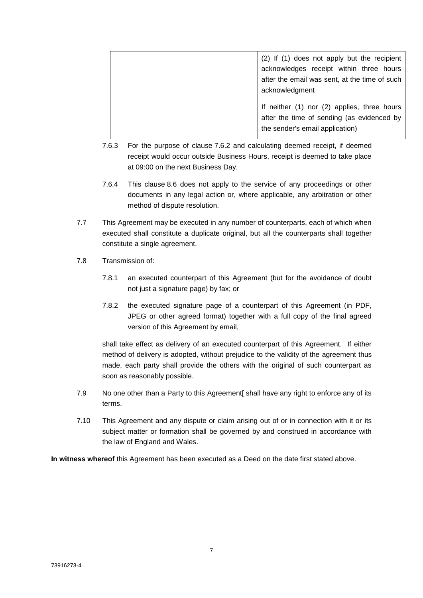| (2) If (1) does not apply but the recipient                                                                                  |  |
|------------------------------------------------------------------------------------------------------------------------------|--|
| acknowledges receipt within three hours                                                                                      |  |
| after the email was sent, at the time of such                                                                                |  |
| acknowledgment                                                                                                               |  |
| If neither (1) nor (2) applies, three hours<br>after the time of sending (as evidenced by<br>the sender's email application) |  |

- 7.6.3 For the purpose of clause [7.6.2](#page-7-0) and calculating deemed receipt, if deemed receipt would occur outside Business Hours, receipt is deemed to take place at 09:00 on the next Business Day.
- 7.6.4 This clause 8.6 does not apply to the service of any proceedings or other documents in any legal action or, where applicable, any arbitration or other method of dispute resolution.
- 7.7 This Agreement may be executed in any number of counterparts, each of which when executed shall constitute a duplicate original, but all the counterparts shall together constitute a single agreement.
- 7.8 Transmission of:
	- 7.8.1 an executed counterpart of this Agreement (but for the avoidance of doubt not just a signature page) by fax; or
	- 7.8.2 the executed signature page of a counterpart of this Agreement (in PDF, JPEG or other agreed format) together with a full copy of the final agreed version of this Agreement by email,

shall take effect as delivery of an executed counterpart of this Agreement. If either method of delivery is adopted, without prejudice to the validity of the agreement thus made, each party shall provide the others with the original of such counterpart as soon as reasonably possible.

- 7.9 No one other than a Party to this Agreement[ shall have any right to enforce any of its terms.
- 7.10 This Agreement and any dispute or claim arising out of or in connection with it or its subject matter or formation shall be governed by and construed in accordance with the law of England and Wales.

**In witness whereof** this Agreement has been executed as a Deed on the date first stated above.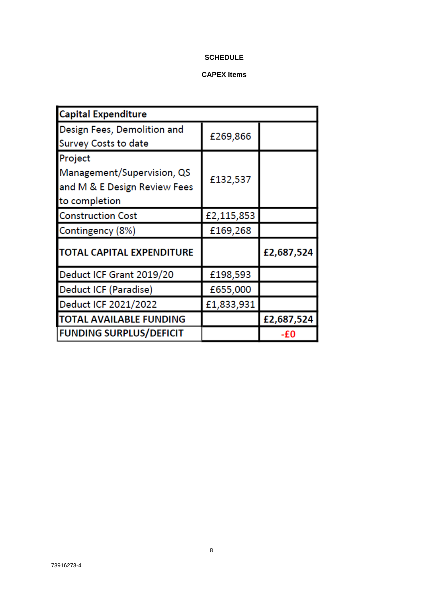## **SCHEDULE**

# **CAPEX Items**

| <b>Capital Expenditure</b>                                                             |            |            |  |  |
|----------------------------------------------------------------------------------------|------------|------------|--|--|
| Design Fees, Demolition and<br><b>Survey Costs to date</b>                             | £269,866   |            |  |  |
| Project<br>Management/Supervision, QS<br>and M & E Design Review Fees<br>to completion | £132,537   |            |  |  |
| <b>Construction Cost</b>                                                               | £2,115,853 |            |  |  |
| Contingency (8%)                                                                       | £169,268   |            |  |  |
| TOTAL CAPITAL EXPENDITURE                                                              |            | £2,687,524 |  |  |
| Deduct ICF Grant 2019/20                                                               | £198,593   |            |  |  |
| Deduct ICF (Paradise)                                                                  | £655,000   |            |  |  |
| Deduct ICF 2021/2022                                                                   | £1,833,931 |            |  |  |
| TOTAL AVAILABLE FUNDING                                                                |            | £2,687,524 |  |  |
| <b>FUNDING SURPLUS/DEFICIT</b>                                                         |            | -£0        |  |  |